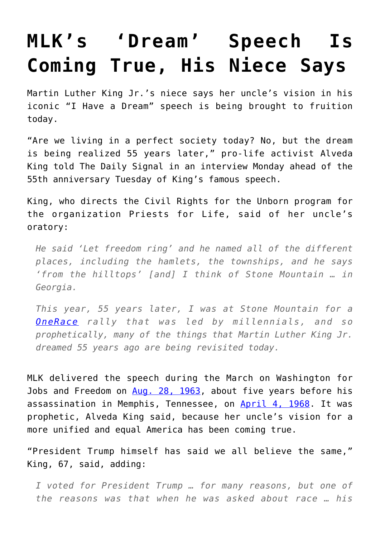## **[MLK's 'Dream' Speech Is](https://intellectualtakeout.org/2018/08/mlks-dream-speech-is-coming-true-his-niece-says/) [Coming True, His Niece Says](https://intellectualtakeout.org/2018/08/mlks-dream-speech-is-coming-true-his-niece-says/)**

Martin Luther King Jr.'s niece says her uncle's vision in his iconic "I Have a Dream" speech is being brought to fruition today.

"Are we living in a perfect society today? No, but the dream is being realized 55 years later," pro-life activist Alveda King told The Daily Signal in an interview Monday ahead of the 55th anniversary Tuesday of King's famous speech.

King, who directs the Civil Rights for the Unborn program for the organization Priests for Life, said of her uncle's oratory:

*He said 'Let freedom ring' and he named all of the different places, including the hamlets, the townships, and he says 'from the hilltops' [and] I think of Stone Mountain … in Georgia.*

*This year, 55 years later, I was at Stone Mountain for a [OneRace](http://oneracemovement.com/who-we-are/) rally that was led by millennials, and so prophetically, many of the things that Martin Luther King Jr. dreamed 55 years ago are being revisited today.*

MLK delivered the speech during the March on Washington for Jobs and Freedom on [Aug. 28, 1963](http://teachingamericanhistory.org/library/document/i-have-a-dream-speech/), about five years before his assassination in Memphis, Tennessee, on [April 4, 1968.](https://www.history.com/topics/black-history/martin-luther-king-jr-assassination) It was prophetic, Alveda King said, because her uncle's vision for a more unified and equal America has been coming true.

"President Trump himself has said we all believe the same," King, 67, said, adding:

*I voted for President Trump … for many reasons, but one of the reasons was that when he was asked about race … his*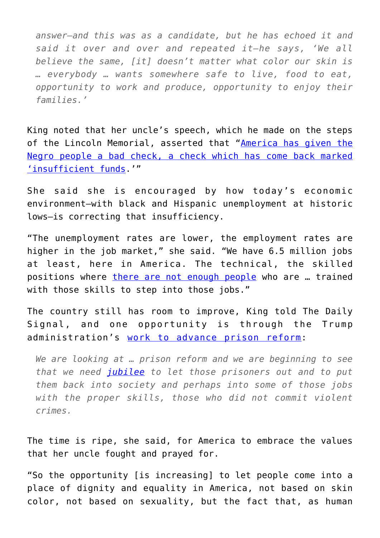*answer—and this was as a candidate, but he has echoed it and said it over and over and repeated it—he says, 'We all believe the same, [it] doesn't matter what color our skin is … everybody … wants somewhere safe to live, food to eat, opportunity to work and produce, opportunity to enjoy their families.'*

King noted that her uncle's speech, which he made on the steps of the Lincoln Memorial, asserted that ["America has given the](http://teachingamericanhistory.org/library/document/i-have-a-dream-speech/) [Negro people a bad check, a check which has come back marked](http://teachingamericanhistory.org/library/document/i-have-a-dream-speech/) ['insufficient funds.](http://teachingamericanhistory.org/library/document/i-have-a-dream-speech/)'"

She said she is encouraged by how today's economic environment—with black and Hispanic unemployment at historic lows—is correcting that insufficiency.

"The unemployment rates are lower, the employment rates are higher in the job market," she said. "We have 6.5 million jobs at least, here in America. The technical, the skilled positions where [there are not enough people](https://www.usatoday.com/story/tech/talkingtech/2017/03/28/tech-skills-gap-huge-graduates-survey-says/99587888/) who are … trained with those skills to step into those jobs."

The country still has room to improve, King told The Daily Signal, and one opportunity is through the Trump administration's [work to advance prison reform](https://www.dailysignal.com/2018/01/11/trump-joins-governors-backing-prison-reform/):

*We are looking at … prison reform and we are beginning to see that we need [jubilee](http://www.biblestudy.org/godsrest/what-is-the-jubilee-year.html) to let those prisoners out and to put them back into society and perhaps into some of those jobs with the proper skills, those who did not commit violent crimes.*

The time is ripe, she said, for America to embrace the values that her uncle fought and prayed for.

"So the opportunity [is increasing] to let people come into a place of dignity and equality in America, not based on skin color, not based on sexuality, but the fact that, as human